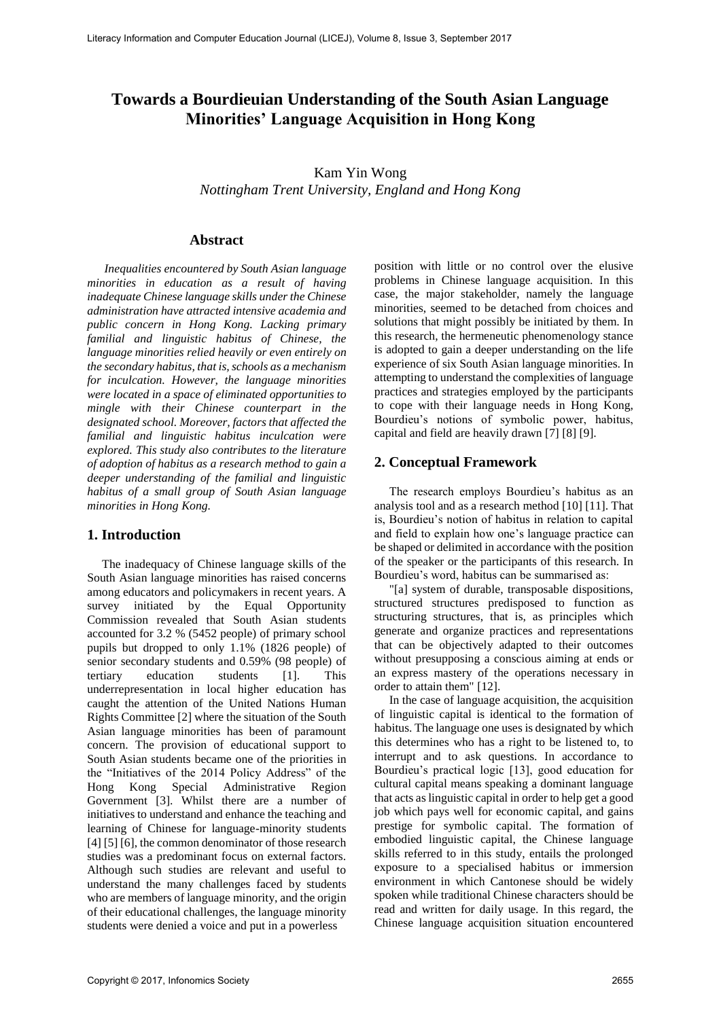# **Towards a Bourdieuian Understanding of the South Asian Language Minorities' Language Acquisition in Hong Kong**

# Kam Yin Wong

*Nottingham Trent University, England and Hong Kong*

# **Abstract**

*Inequalities encountered by South Asian language minorities in education as a result of having inadequate Chinese language skills under the Chinese administration have attracted intensive academia and public concern in Hong Kong. Lacking primary familial and linguistic habitus of Chinese, the language minorities relied heavily or even entirely on the secondary habitus, that is, schools as a mechanism for inculcation. However, the language minorities were located in a space of eliminated opportunities to mingle with their Chinese counterpart in the designated school. Moreover, factors that affected the familial and linguistic habitus inculcation were explored. This study also contributes to the literature of adoption of habitus as a research method to gain a deeper understanding of the familial and linguistic habitus of a small group of South Asian language minorities in Hong Kong.*

# **1. Introduction**

The inadequacy of Chinese language skills of the South Asian language minorities has raised concerns among educators and policymakers in recent years. A survey initiated by the Equal Opportunity Commission revealed that South Asian students accounted for 3.2 % (5452 people) of primary school pupils but dropped to only 1.1% (1826 people) of senior secondary students and 0.59% (98 people) of tertiary education students [1]. This underrepresentation in local higher education has caught the attention of the United Nations Human Rights Committee [2] where the situation of the South Asian language minorities has been of paramount concern. The provision of educational support to South Asian students became one of the priorities in the "Initiatives of the 2014 Policy Address" of the Hong Kong Special Administrative Region Government [3]. Whilst there are a number of initiatives to understand and enhance the teaching and learning of Chinese for language-minority students [4] [5] [6], the common denominator of those research studies was a predominant focus on external factors. Although such studies are relevant and useful to understand the many challenges faced by students who are members of language minority, and the origin of their educational challenges, the language minority students were denied a voice and put in a powerless

position with little or no control over the elusive problems in Chinese language acquisition. In this case, the major stakeholder, namely the language minorities, seemed to be detached from choices and solutions that might possibly be initiated by them. In this research, the hermeneutic phenomenology stance is adopted to gain a deeper understanding on the life experience of six South Asian language minorities. In attempting to understand the complexities of language practices and strategies employed by the participants to cope with their language needs in Hong Kong, Bourdieu's notions of symbolic power, habitus, capital and field are heavily drawn [7] [8] [9].

# **2. Conceptual Framework**

The research employs Bourdieu's habitus as an analysis tool and as a research method [10] [11]. That is, Bourdieu's notion of habitus in relation to capital and field to explain how one's language practice can be shaped or delimited in accordance with the position of the speaker or the participants of this research. In Bourdieu's word, habitus can be summarised as:

"[a] system of durable, transposable dispositions, structured structures predisposed to function as structuring structures, that is, as principles which generate and organize practices and representations that can be objectively adapted to their outcomes without presupposing a conscious aiming at ends or an express mastery of the operations necessary in order to attain them" [12].

In the case of language acquisition, the acquisition of linguistic capital is identical to the formation of habitus. The language one uses is designated by which this determines who has a right to be listened to, to interrupt and to ask questions. In accordance to Bourdieu's practical logic [13], good education for cultural capital means speaking a dominant language that acts as linguistic capital in order to help get a good job which pays well for economic capital, and gains prestige for symbolic capital. The formation of embodied linguistic capital, the Chinese language skills referred to in this study, entails the prolonged exposure to a specialised habitus or immersion environment in which Cantonese should be widely spoken while traditional Chinese characters should be read and written for daily usage. In this regard, the Chinese language acquisition situation encountered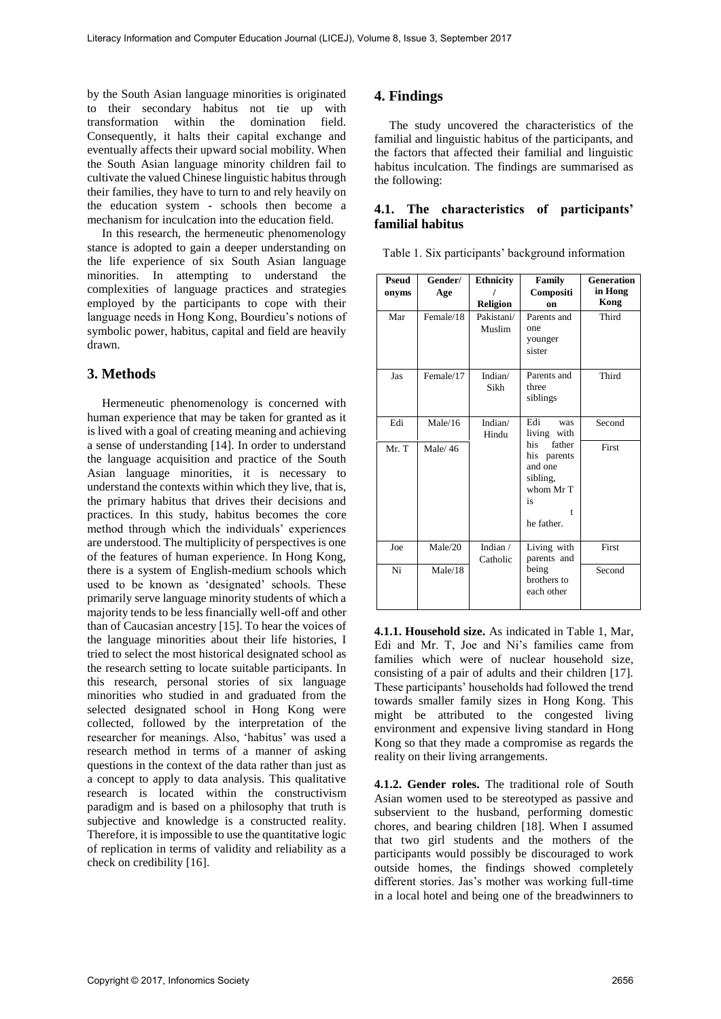by the South Asian language minorities is originated to their secondary habitus not tie up with transformation within the domination field. Consequently, it halts their capital exchange and eventually affects their upward social mobility. When the South Asian language minority children fail to cultivate the valued Chinese linguistic habitus through their families, they have to turn to and rely heavily on the education system - schools then become a mechanism for inculcation into the education field.

In this research, the hermeneutic phenomenology stance is adopted to gain a deeper understanding on the life experience of six South Asian language minorities. In attempting to understand the complexities of language practices and strategies employed by the participants to cope with their language needs in Hong Kong, Bourdieu's notions of symbolic power, habitus, capital and field are heavily drawn.

#### **3. Methods**

Hermeneutic phenomenology is concerned with human experience that may be taken for granted as it is lived with a goal of creating meaning and achieving a sense of understanding [14]. In order to understand the language acquisition and practice of the South Asian language minorities, it is necessary to understand the contexts within which they live, that is, the primary habitus that drives their decisions and practices. In this study, habitus becomes the core method through which the individuals' experiences are understood. The multiplicity of perspectives is one of the features of human experience. In Hong Kong, there is a system of English-medium schools which used to be known as 'designated' schools. These primarily serve language minority students of which a majority tends to be less financially well-off and other than of Caucasian ancestry [15]. To hear the voices of the language minorities about their life histories, I tried to select the most historical designated school as the research setting to locate suitable participants. In this research, personal stories of six language minorities who studied in and graduated from the selected designated school in Hong Kong were collected, followed by the interpretation of the researcher for meanings. Also, 'habitus' was used a research method in terms of a manner of asking questions in the context of the data rather than just as a concept to apply to data analysis. This qualitative research is located within the constructivism paradigm and is based on a philosophy that truth is subjective and knowledge is a constructed reality. Therefore, it is impossible to use the quantitative logic of replication in terms of validity and reliability as a check on credibility [16].

## **4. Findings**

The study uncovered the characteristics of the familial and linguistic habitus of the participants, and the factors that affected their familial and linguistic habitus inculcation. The findings are summarised as the following:

#### **4.1. The characteristics of participants' familial habitus**

Table 1. Six participants' background information

| Pseud<br>onyms | Gender/<br>Age | <b>Ethnicity</b><br><b>Religion</b> | Family<br>Compositi<br>on                                                                 | <b>Generation</b><br>in Hong<br>Kong |
|----------------|----------------|-------------------------------------|-------------------------------------------------------------------------------------------|--------------------------------------|
| Mar            | Female/18      | Pakistani/<br>Muslim                | Parents and<br>one<br>younger<br>sister                                                   | Third                                |
| Jas            | Female/17      | Indian/<br>Sikh                     | Parents and<br>three<br>siblings                                                          | Third                                |
| Edi            | Male/16        | Indian/<br>Hindu                    | Edi<br>was<br>living<br>with                                                              | Second                               |
| Mr. T          | Male/46        |                                     | father<br>his<br>his parents<br>and one<br>sibling,<br>whom Mr T<br>is<br>t<br>he father. | First                                |
| Joe            | Male/20        | Indian /<br>Catholic                | Living with<br>parents and                                                                | First                                |
| Ni             | Male/18        |                                     | being<br>brothers to<br>each other                                                        | Second                               |

**4.1.1. Household size.** As indicated in Table 1, Mar, Edi and Mr. T, Joe and Ni's families came from families which were of nuclear household size, consisting of a pair of adults and their children [17]. These participants' households had followed the trend towards smaller family sizes in Hong Kong. This might be attributed to the congested living environment and expensive living standard in Hong Kong so that they made a compromise as regards the reality on their living arrangements.

**4.1.2. Gender roles.** The traditional role of South Asian women used to be stereotyped as passive and subservient to the husband, performing domestic chores, and bearing children [18]. When I assumed that two girl students and the mothers of the participants would possibly be discouraged to work outside homes, the findings showed completely different stories. Jas's mother was working full-time in a local hotel and being one of the breadwinners to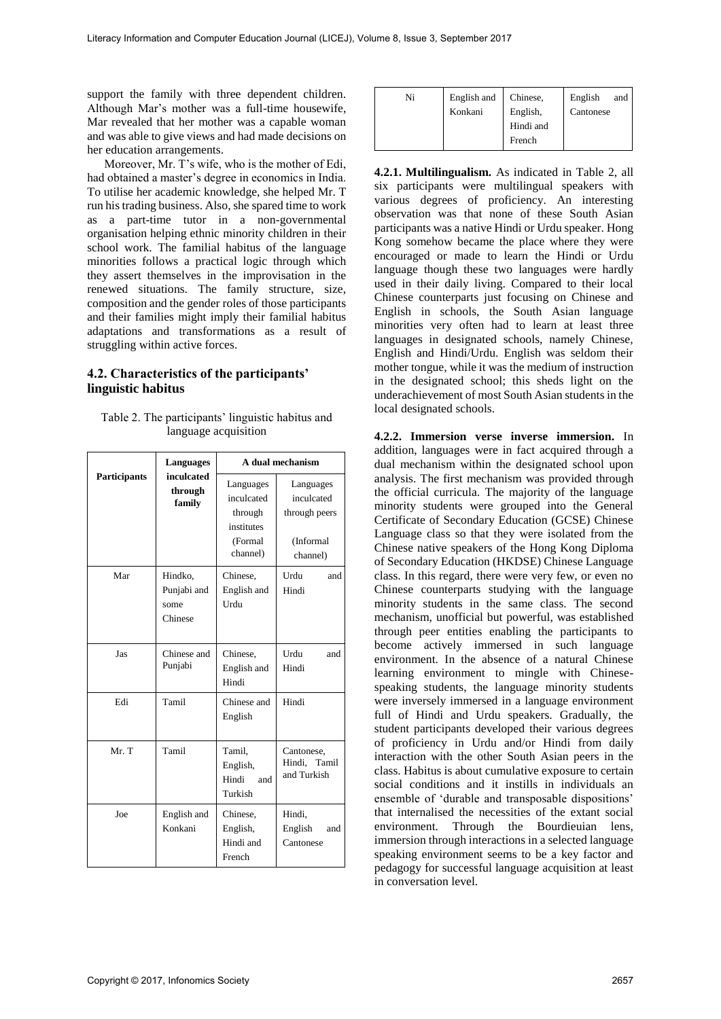support the family with three dependent children. Although Mar's mother was a full-time housewife, Mar revealed that her mother was a capable woman and was able to give views and had made decisions on her education arrangements.

Moreover, Mr. T's wife, who is the mother of Edi, had obtained a master's degree in economics in India. To utilise her academic knowledge, she helped Mr. T run his trading business. Also, she spared time to work as a part-time tutor in a non-governmental organisation helping ethnic minority children in their school work. The familial habitus of the language minorities follows a practical logic through which they assert themselves in the improvisation in the renewed situations. The family structure, size, composition and the gender roles of those participants and their families might imply their familial habitus adaptations and transformations as a result of struggling within active forces.

#### **4.2. Characteristics of the participants' linguistic habitus**

| Table 2. The participants' linguistic habitus and |  |
|---------------------------------------------------|--|
| language acquisition                              |  |

|                     | <b>Languages</b>                          | A dual mechanism                                                        |                                                                   |  |
|---------------------|-------------------------------------------|-------------------------------------------------------------------------|-------------------------------------------------------------------|--|
| <b>Participants</b> | inculcated<br>through<br>family           | Languages<br>inculcated<br>through<br>institutes<br>(Formal<br>channel) | Languages<br>inculcated<br>through peers<br>(Informal<br>channel) |  |
| Mar                 | Hindko,<br>Punjabi and<br>some<br>Chinese | Chinese,<br>English and<br>Urdu                                         | Urdu<br>and<br>Hindi                                              |  |
| Jas                 | Chinese and<br>Punjabi                    | Chinese,<br>English and<br>Hindi                                        | Urdu<br>and<br>Hindi                                              |  |
| Edi                 | Tamil                                     | Chinese and<br>English                                                  | Hindi                                                             |  |
| Mr. T               | Tamil                                     | Tamil,<br>English,<br>Hindi<br>and<br>Turkish                           | Cantonese,<br>Hindi,<br>Tamil<br>and Turkish                      |  |
| Joe                 | English and<br>Konkani                    | Chinese,<br>English,<br>Hindi and<br>French                             | Hindi,<br>English<br>and<br>Cantonese                             |  |

| Ni | English and | Chinese,  | English<br>and |
|----|-------------|-----------|----------------|
|    | Konkani     | English,  | Cantonese      |
|    |             | Hindi and |                |
|    |             | French    |                |

**4.2.1. Multilingualism.** As indicated in Table 2, all six participants were multilingual speakers with various degrees of proficiency. An interesting observation was that none of these South Asian participants was a native Hindi or Urdu speaker. Hong Kong somehow became the place where they were encouraged or made to learn the Hindi or Urdu language though these two languages were hardly used in their daily living. Compared to their local Chinese counterparts just focusing on Chinese and English in schools, the South Asian language minorities very often had to learn at least three languages in designated schools, namely Chinese, English and Hindi/Urdu. English was seldom their mother tongue, while it was the medium of instruction in the designated school; this sheds light on the underachievement of most South Asian students in the local designated schools.

**4.2.2. Immersion verse inverse immersion.** In addition, languages were in fact acquired through a dual mechanism within the designated school upon analysis. The first mechanism was provided through the official curricula. The majority of the language minority students were grouped into the General Certificate of Secondary Education (GCSE) Chinese Language class so that they were isolated from the Chinese native speakers of the Hong Kong Diploma of Secondary Education (HKDSE) Chinese Language class. In this regard, there were very few, or even no Chinese counterparts studying with the language minority students in the same class. The second mechanism, unofficial but powerful, was established through peer entities enabling the participants to become actively immersed in such language environment. In the absence of a natural Chinese learning environment to mingle with Chinesespeaking students, the language minority students were inversely immersed in a language environment full of Hindi and Urdu speakers. Gradually, the student participants developed their various degrees of proficiency in Urdu and/or Hindi from daily interaction with the other South Asian peers in the class. Habitus is about cumulative exposure to certain social conditions and it instills in individuals an ensemble of 'durable and transposable dispositions' that internalised the necessities of the extant social environment. Through the Bourdieuian lens, immersion through interactions in a selected language speaking environment seems to be a key factor and pedagogy for successful language acquisition at least in conversation level.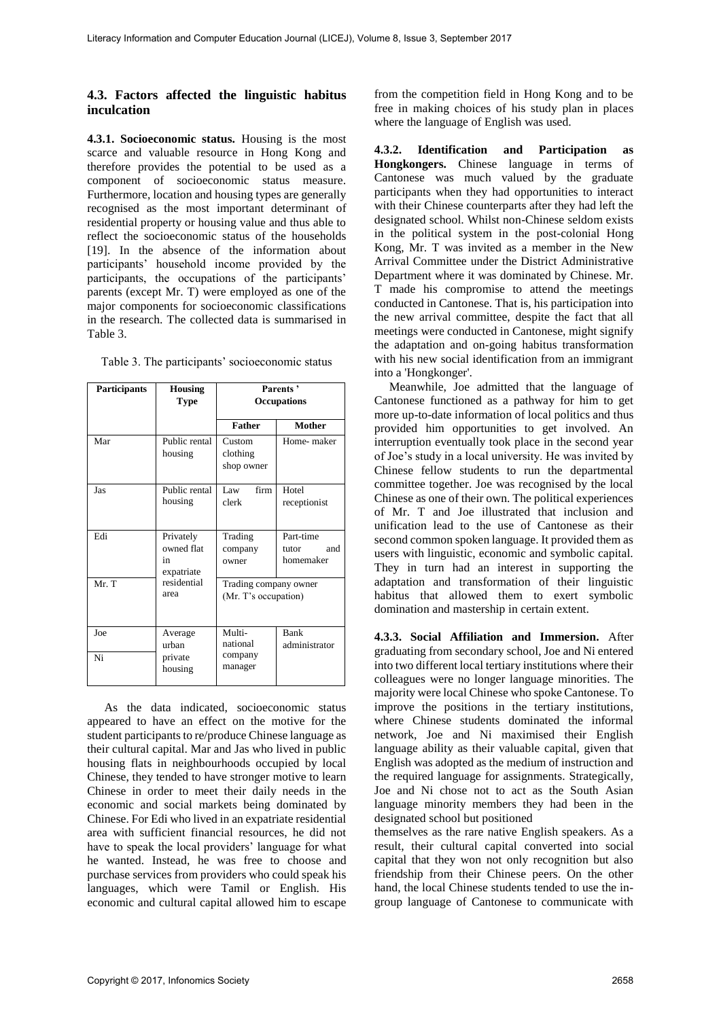#### **4.3. Factors affected the linguistic habitus inculcation**

**4.3.1. Socioeconomic status.** Housing is the most scarce and valuable resource in Hong Kong and therefore provides the potential to be used as a component of socioeconomic status measure. Furthermore, location and housing types are generally recognised as the most important determinant of residential property or housing value and thus able to reflect the socioeconomic status of the households [19]. In the absence of the information about participants' household income provided by the participants, the occupations of the participants' parents (except Mr. T) were employed as one of the major components for socioeconomic classifications in the research. The collected data is summarised in Table 3.

|  | Table 3. The participants' socioeconomic status |  |  |
|--|-------------------------------------------------|--|--|
|--|-------------------------------------------------|--|--|

| Participants | <b>Housing</b><br><b>Type</b>               | Parents'<br><b>Occupations</b>                |                                        |
|--------------|---------------------------------------------|-----------------------------------------------|----------------------------------------|
|              |                                             | <b>Father</b>                                 | <b>Mother</b>                          |
| Mar          | Public rental<br>housing                    | Custom<br>clothing<br>shop owner              | Home- maker                            |
| Jas          | Public rental<br>housing                    | firm<br>Law<br>clerk                          | Hotel<br>receptionist                  |
| Edi          | Privately<br>owned flat<br>in<br>expatriate | Trading<br>company<br>owner                   | Part-time<br>and<br>tutor<br>homemaker |
| Mr. T        | residential<br>area                         | Trading company owner<br>(Mr. T's occupation) |                                        |
| Joe<br>Ni    | Average<br>urban<br>private<br>housing      | Multi-<br>national<br>company<br>manager      | Bank<br>administrator                  |

As the data indicated, socioeconomic status appeared to have an effect on the motive for the student participants to re/produce Chinese language as their cultural capital. Mar and Jas who lived in public housing flats in neighbourhoods occupied by local Chinese, they tended to have stronger motive to learn Chinese in order to meet their daily needs in the economic and social markets being dominated by Chinese. For Edi who lived in an expatriate residential area with sufficient financial resources, he did not have to speak the local providers' language for what he wanted. Instead, he was free to choose and purchase services from providers who could speak his languages, which were Tamil or English. His economic and cultural capital allowed him to escape from the competition field in Hong Kong and to be free in making choices of his study plan in places where the language of English was used.

**4.3.2. Identification and Participation as Hongkongers.** Chinese language in terms of Cantonese was much valued by the graduate participants when they had opportunities to interact with their Chinese counterparts after they had left the designated school. Whilst non-Chinese seldom exists in the political system in the post-colonial Hong Kong, Mr. T was invited as a member in the New Arrival Committee under the District Administrative Department where it was dominated by Chinese. Mr. T made his compromise to attend the meetings conducted in Cantonese. That is, his participation into the new arrival committee, despite the fact that all meetings were conducted in Cantonese, might signify the adaptation and on-going habitus transformation with his new social identification from an immigrant into a 'Hongkonger'.

Meanwhile, Joe admitted that the language of Cantonese functioned as a pathway for him to get more up-to-date information of local politics and thus provided him opportunities to get involved. An interruption eventually took place in the second year of Joe's study in a local university. He was invited by Chinese fellow students to run the departmental committee together. Joe was recognised by the local Chinese as one of their own. The political experiences of Mr. T and Joe illustrated that inclusion and unification lead to the use of Cantonese as their second common spoken language. It provided them as users with linguistic, economic and symbolic capital. They in turn had an interest in supporting the adaptation and transformation of their linguistic habitus that allowed them to exert symbolic domination and mastership in certain extent.

**4.3.3. Social Affiliation and Immersion.** After graduating from secondary school, Joe and Ni entered into two different local tertiary institutions where their colleagues were no longer language minorities. The majority were local Chinese who spoke Cantonese. To improve the positions in the tertiary institutions, where Chinese students dominated the informal network, Joe and Ni maximised their English language ability as their valuable capital, given that English was adopted as the medium of instruction and the required language for assignments. Strategically, Joe and Ni chose not to act as the South Asian language minority members they had been in the designated school but positioned

themselves as the rare native English speakers. As a result, their cultural capital converted into social capital that they won not only recognition but also friendship from their Chinese peers. On the other hand, the local Chinese students tended to use the ingroup language of Cantonese to communicate with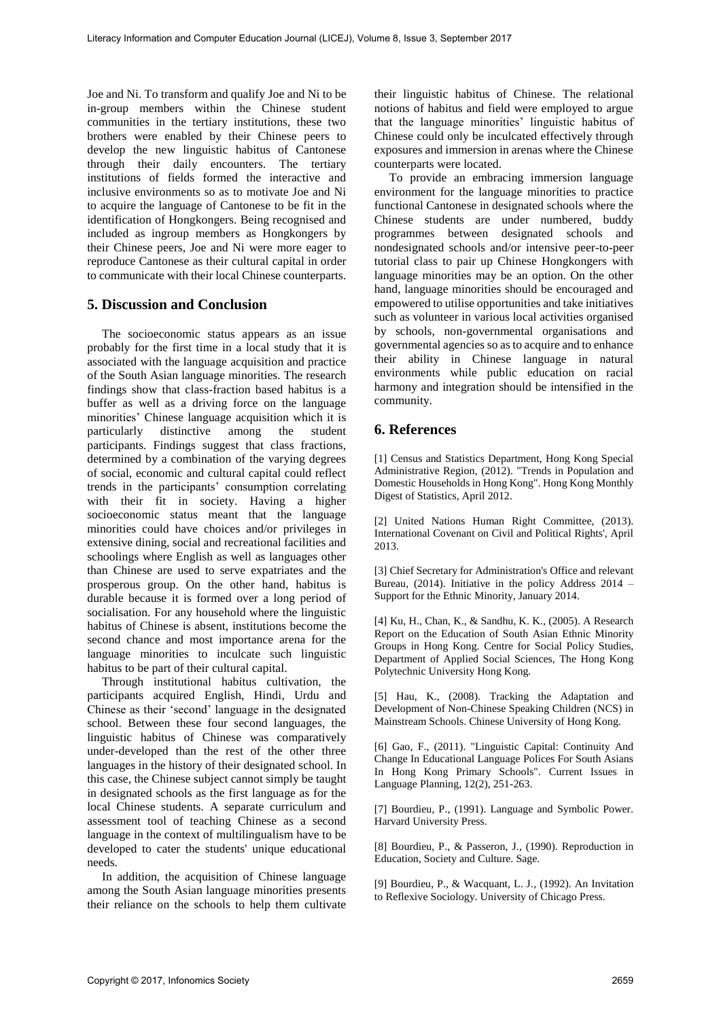Joe and Ni. To transform and qualify Joe and Ni to be in-group members within the Chinese student communities in the tertiary institutions, these two brothers were enabled by their Chinese peers to develop the new linguistic habitus of Cantonese through their daily encounters. The tertiary institutions of fields formed the interactive and inclusive environments so as to motivate Joe and Ni to acquire the language of Cantonese to be fit in the identification of Hongkongers. Being recognised and included as ingroup members as Hongkongers by their Chinese peers, Joe and Ni were more eager to reproduce Cantonese as their cultural capital in order to communicate with their local Chinese counterparts.

#### **5. Discussion and Conclusion**

The socioeconomic status appears as an issue probably for the first time in a local study that it is associated with the language acquisition and practice of the South Asian language minorities. The research findings show that class-fraction based habitus is a buffer as well as a driving force on the language minorities' Chinese language acquisition which it is particularly distinctive among the student participants. Findings suggest that class fractions, determined by a combination of the varying degrees of social, economic and cultural capital could reflect trends in the participants' consumption correlating with their fit in society. Having a higher socioeconomic status meant that the language minorities could have choices and/or privileges in extensive dining, social and recreational facilities and schoolings where English as well as languages other than Chinese are used to serve expatriates and the prosperous group. On the other hand, habitus is durable because it is formed over a long period of socialisation. For any household where the linguistic habitus of Chinese is absent, institutions become the second chance and most importance arena for the language minorities to inculcate such linguistic habitus to be part of their cultural capital.

Through institutional habitus cultivation, the participants acquired English, Hindi, Urdu and Chinese as their 'second' language in the designated school. Between these four second languages, the linguistic habitus of Chinese was comparatively under-developed than the rest of the other three languages in the history of their designated school. In this case, the Chinese subject cannot simply be taught in designated schools as the first language as for the local Chinese students. A separate curriculum and assessment tool of teaching Chinese as a second language in the context of multilingualism have to be developed to cater the students' unique educational needs.

In addition, the acquisition of Chinese language among the South Asian language minorities presents their reliance on the schools to help them cultivate

their linguistic habitus of Chinese. The relational notions of habitus and field were employed to argue that the language minorities' linguistic habitus of Chinese could only be inculcated effectively through exposures and immersion in arenas where the Chinese counterparts were located.

To provide an embracing immersion language environment for the language minorities to practice functional Cantonese in designated schools where the Chinese students are under numbered, buddy programmes between designated schools and nondesignated schools and/or intensive peer-to-peer tutorial class to pair up Chinese Hongkongers with language minorities may be an option. On the other hand, language minorities should be encouraged and empowered to utilise opportunities and take initiatives such as volunteer in various local activities organised by schools, non-governmental organisations and governmental agencies so as to acquire and to enhance their ability in Chinese language in natural environments while public education on racial harmony and integration should be intensified in the community.

## **6. References**

[1] Census and Statistics Department, Hong Kong Special Administrative Region, (2012). "Trends in Population and Domestic Households in Hong Kong". Hong Kong Monthly Digest of Statistics, April 2012.

[2] United Nations Human Right Committee, (2013). International Covenant on Civil and Political Rights', April 2013.

[3] Chief Secretary for Administration's Office and relevant Bureau, (2014). Initiative in the policy Address 2014 – Support for the Ethnic Minority, January 2014.

[4] Ku, H., Chan, K., & Sandhu, K. K., (2005). A Research Report on the Education of South Asian Ethnic Minority Groups in Hong Kong. Centre for Social Policy Studies, Department of Applied Social Sciences, The Hong Kong Polytechnic University Hong Kong.

[5] Hau, K., (2008). Tracking the Adaptation and Development of Non-Chinese Speaking Children (NCS) in Mainstream Schools. Chinese University of Hong Kong.

[6] Gao, F., (2011). "Linguistic Capital: Continuity And Change In Educational Language Polices For South Asians In Hong Kong Primary Schools". Current Issues in Language Planning, 12(2), 251-263.

[7] Bourdieu, P., (1991). Language and Symbolic Power. Harvard University Press.

[8] Bourdieu, P., & Passeron, J., (1990). Reproduction in Education, Society and Culture. Sage.

[9] Bourdieu, P., & Wacquant, L. J., (1992). An Invitation to Reflexive Sociology. University of Chicago Press.